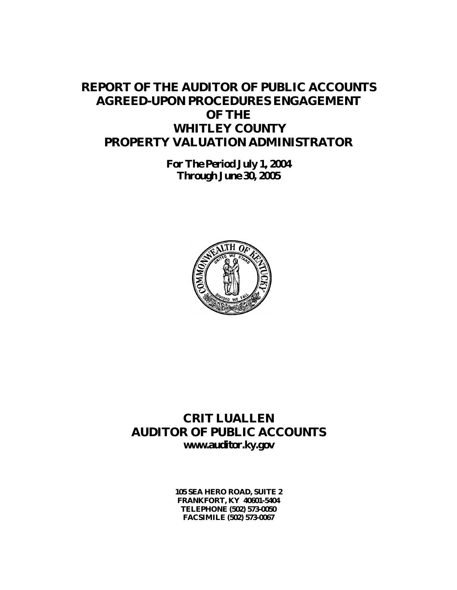# **REPORT OF THE AUDITOR OF PUBLIC ACCOUNTS AGREED-UPON PROCEDURES ENGAGEMENT OF THE WHITLEY COUNTY PROPERTY VALUATION ADMINISTRATOR**

**For The Period July 1, 2004 Through June 30, 2005**



## **CRIT LUALLEN AUDITOR OF PUBLIC ACCOUNTS www.auditor.ky.gov**

**105 SEA HERO ROAD, SUITE 2 FRANKFORT, KY 40601-5404 TELEPHONE (502) 573-0050 FACSIMILE (502) 573-0067**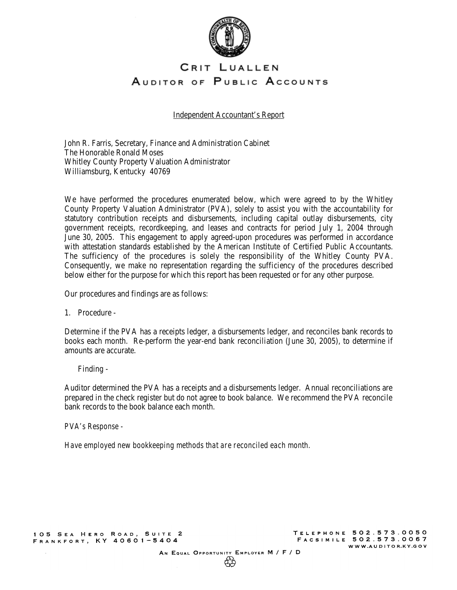

### CRIT LUALLEN AUDITOR OF PUBLIC ACCOUNTS

Independent Accountant's Report

John R. Farris, Secretary, Finance and Administration Cabinet The Honorable Ronald Moses Whitley County Property Valuation Administrator Williamsburg, Kentucky 40769

We have performed the procedures enumerated below, which were agreed to by the Whitley County Property Valuation Administrator (PVA), solely to assist you with the accountability for statutory contribution receipts and disbursements, including capital outlay disbursements, city government receipts, recordkeeping, and leases and contracts for period July 1, 2004 through June 30, 2005. This engagement to apply agreed-upon procedures was performed in accordance with attestation standards established by the American Institute of Certified Public Accountants. The sufficiency of the procedures is solely the responsibility of the Whitley County PVA. Consequently, we make no representation regarding the sufficiency of the procedures described below either for the purpose for which this report has been requested or for any other purpose.

Our procedures and findings are as follows:

1. Procedure -

Determine if the PVA has a receipts ledger, a disbursements ledger, and reconciles bank records to books each month. Re-perform the year-end bank reconciliation (June 30, 2005), to determine if amounts are accurate.

Finding -

Auditor determined the PVA has a receipts and a disbursements ledger. Annual reconciliations are prepared in the check register but do not agree to book balance. We recommend the PVA reconcile bank records to the book balance each month.

*PVA's Response -* 

*Have employed new bookkeeping methods that are reconciled each month.*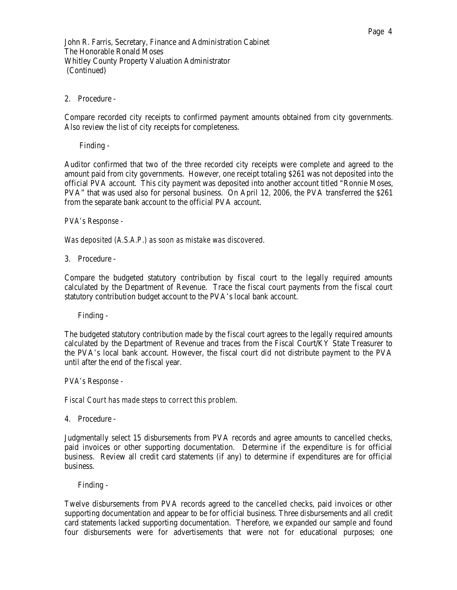2. Procedure -

Compare recorded city receipts to confirmed payment amounts obtained from city governments. Also review the list of city receipts for completeness.

Finding -

Auditor confirmed that two of the three recorded city receipts were complete and agreed to the amount paid from city governments. However, one receipt totaling \$261 was not deposited into the official PVA account. This city payment was deposited into another account titled "Ronnie Moses, PVA" that was used also for personal business. On April 12, 2006, the PVA transferred the \$261 from the separate bank account to the official PVA account.

*PVA's Response -* 

*Was deposited (A.S.A.P.) as soon as mistake was discovered.* 

3. Procedure -

Compare the budgeted statutory contribution by fiscal court to the legally required amounts calculated by the Department of Revenue. Trace the fiscal court payments from the fiscal court statutory contribution budget account to the PVA's local bank account.

Finding -

The budgeted statutory contribution made by the fiscal court agrees to the legally required amounts calculated by the Department of Revenue and traces from the Fiscal Court/KY State Treasurer to the PVA's local bank account. However, the fiscal court did not distribute payment to the PVA until after the end of the fiscal year.

*PVA's Response -* 

*Fiscal Court has made steps to correct this problem.* 

4. Procedure -

Judgmentally select 15 disbursements from PVA records and agree amounts to cancelled checks, paid invoices or other supporting documentation. Determine if the expenditure is for official business. Review all credit card statements (if any) to determine if expenditures are for official business.

Finding -

Twelve disbursements from PVA records agreed to the cancelled checks, paid invoices or other supporting documentation and appear to be for official business. Three disbursements and all credit card statements lacked supporting documentation. Therefore, we expanded our sample and found four disbursements were for advertisements that were not for educational purposes; one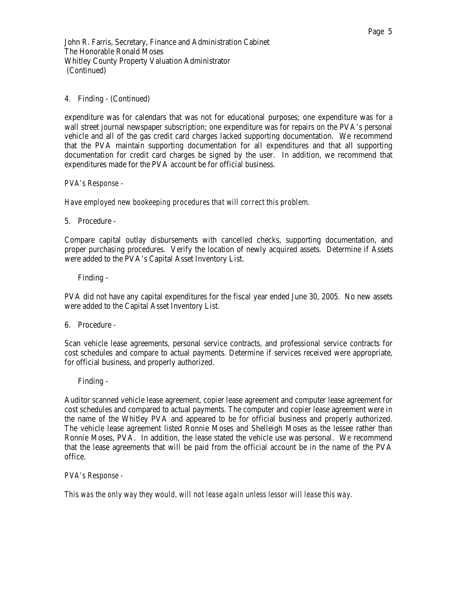### 4. Finding - (Continued)

expenditure was for calendars that was not for educational purposes; one expenditure was for a wall street journal newspaper subscription; one expenditure was for repairs on the PVA's personal vehicle and all of the gas credit card charges lacked supporting documentation. We recommend that the PVA maintain supporting documentation for all expenditures and that all supporting documentation for credit card charges be signed by the user. In addition, we recommend that expenditures made for the PVA account be for official business.

*PVA's Response -* 

*Have employed new bookeeping procedures that will correct this problem.* 

5. Procedure -

Compare capital outlay disbursements with cancelled checks, supporting documentation, and proper purchasing procedures. Verify the location of newly acquired assets. Determine if Assets were added to the PVA's Capital Asset Inventory List.

Finding -

PVA did not have any capital expenditures for the fiscal year ended June 30, 2005. No new assets were added to the Capital Asset Inventory List.

6. Procedure -

Scan vehicle lease agreements, personal service contracts, and professional service contracts for cost schedules and compare to actual payments. Determine if services received were appropriate, for official business, and properly authorized.

Finding -

Auditor scanned vehicle lease agreement, copier lease agreement and computer lease agreement for cost schedules and compared to actual payments. The computer and copier lease agreement were in the name of the Whitley PVA and appeared to be for official business and properly authorized. The vehicle lease agreement listed Ronnie Moses and Shelleigh Moses as the lessee rather than Ronnie Moses, PVA. In addition, the lease stated the vehicle use was personal. We recommend that the lease agreements that will be paid from the official account be in the name of the PVA office.

*PVA's Response -* 

*This was the only way they would, will not lease again unless lessor will lease this way.*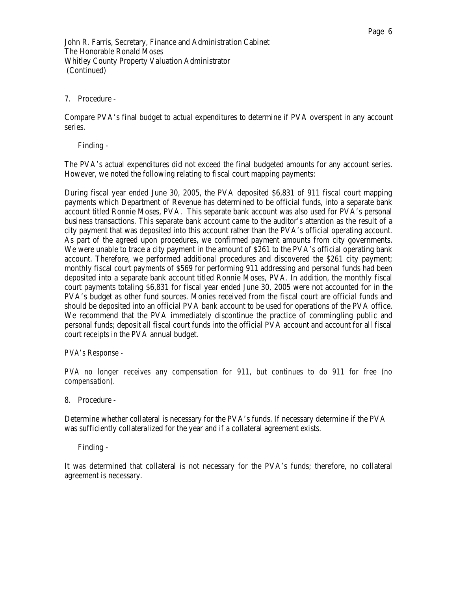### 7. Procedure -

Compare PVA's final budget to actual expenditures to determine if PVA overspent in any account series.

Finding -

The PVA's actual expenditures did not exceed the final budgeted amounts for any account series. However, we noted the following relating to fiscal court mapping payments:

During fiscal year ended June 30, 2005, the PVA deposited \$6,831 of 911 fiscal court mapping payments which Department of Revenue has determined to be official funds, into a separate bank account titled Ronnie Moses, PVA. This separate bank account was also used for PVA's personal business transactions. This separate bank account came to the auditor's attention as the result of a city payment that was deposited into this account rather than the PVA's official operating account. As part of the agreed upon procedures, we confirmed payment amounts from city governments. We were unable to trace a city payment in the amount of \$261 to the PVA's official operating bank account. Therefore, we performed additional procedures and discovered the \$261 city payment; monthly fiscal court payments of \$569 for performing 911 addressing and personal funds had been deposited into a separate bank account titled Ronnie Moses, PVA. In addition, the monthly fiscal court payments totaling \$6,831 for fiscal year ended June 30, 2005 were not accounted for in the PVA's budget as other fund sources. Monies received from the fiscal court are official funds and should be deposited into an official PVA bank account to be used for operations of the PVA office. We recommend that the PVA immediately discontinue the practice of commingling public and personal funds; deposit all fiscal court funds into the official PVA account and account for all fiscal court receipts in the PVA annual budget.

*PVA's Response -* 

*PVA no longer receives any compensation for 911, but continues to do 911 for free (no compensation).* 

8. Procedure -

Determine whether collateral is necessary for the PVA's funds. If necessary determine if the PVA was sufficiently collateralized for the year and if a collateral agreement exists.

Finding -

It was determined that collateral is not necessary for the PVA's funds; therefore, no collateral agreement is necessary.